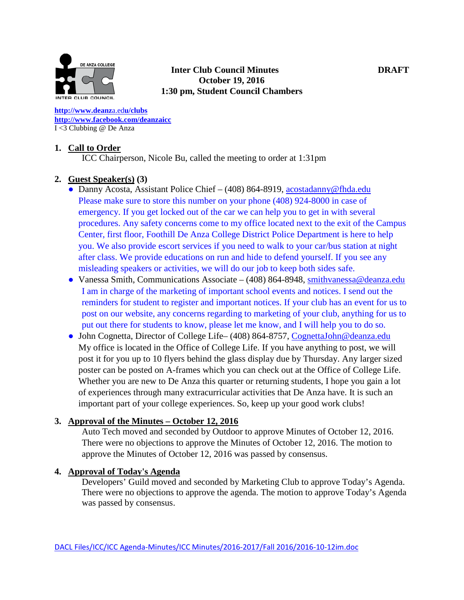

### **Inter Club Council Minutes DRAFT October 19, 2016 1:30 pm, Student Council Chambers**

**[http://www.deanz](http://www.deanza.edu/clubs)**[a.ed](http://www.deanza.edu/clubs)**[u/clubs](http://www.deanza.edu/clubs) [http://www.facebook.com/deanzaicc](http://www.facebook.com/home.php#!/group.php?gid=59034552686)** I <3 Clubbing @ De Anza

### **1. Call to Order**

ICC Chairperson, Nicole Bu, called the meeting to order at 1:31pm

### **2. Guest Speaker(s) (3)**

- Danny Acosta, Assistant Police Chief (408) 864-8919, [acostadanny@fhda.edu](mailto:acostadanny@fhda.edu) Please make sure to store this number on your phone (408) 924-8000 in case of emergency. If you get locked out of the car we can help you to get in with several procedures. Any safety concerns come to my office located next to the exit of the Campus Center, first floor, Foothill De Anza College District Police Department is here to help you. We also provide escort services if you need to walk to your car/bus station at night after class. We provide educations on run and hide to defend yourself. If you see any misleading speakers or activities, we will do our job to keep both sides safe.
- Vanessa Smith, Communications Associate (408) 864-8948, [smithvanessa@deanza.edu](mailto:smithvanessa@deanza.edu) I am in charge of the marketing of important school events and notices. I send out the reminders for student to register and important notices. If your club has an event for us to post on our website, any concerns regarding to marketing of your club, anything for us to put out there for students to know, please let me know, and I will help you to do so.
- John Cognetta, Director of College Life– (408) 864-8757, [CognettaJohn@deanza.edu](mailto:CognettaJohn@deanza.edu) My office is located in the Office of College Life. If you have anything to post, we will post it for you up to 10 flyers behind the glass display due by Thursday. Any larger sized poster can be posted on A-frames which you can check out at the Office of College Life. Whether you are new to De Anza this quarter or returning students, I hope you gain a lot of experiences through many extracurricular activities that De Anza have. It is such an important part of your college experiences. So, keep up your good work clubs!

#### **3. Approval of the Minutes – October 12, 2016**

Auto Tech moved and seconded by Outdoor to approve Minutes of October 12, 2016. There were no objections to approve the Minutes of October 12, 2016. The motion to approve the Minutes of October 12, 2016 was passed by consensus.

#### **4. Approval of Today's Agenda**

Developers' Guild moved and seconded by Marketing Club to approve Today's Agenda. There were no objections to approve the agenda. The motion to approve Today's Agenda was passed by consensus.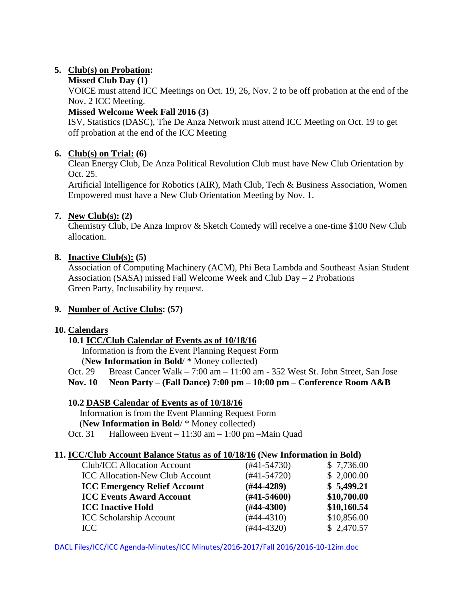# **5. Club(s) on Probation:**

## **Missed Club Day (1)**

VOICE must attend ICC Meetings on Oct. 19, 26, Nov. 2 to be off probation at the end of the Nov. 2 ICC Meeting.

# **Missed Welcome Week Fall 2016 (3)**

ISV, Statistics (DASC), The De Anza Network must attend ICC Meeting on Oct. 19 to get off probation at the end of the ICC Meeting

# **6. Club(s) on Trial: (6)**

Clean Energy Club, De Anza Political Revolution Club must have New Club Orientation by Oct. 25.

Artificial Intelligence for Robotics (AIR), Math Club, Tech & Business Association, Women Empowered must have a New Club Orientation Meeting by Nov. 1.

# **7. New Club(s): (2)**

Chemistry Club, De Anza Improv & Sketch Comedy will receive a one-time \$100 New Club allocation.

### **8. Inactive Club(s): (5)**

Association of Computing Machinery (ACM), Phi Beta Lambda and Southeast Asian Student Association (SASA) missed Fall Welcome Week and Club Day – 2 Probations Green Party, Inclusability by request.

# **9. Number of Active Clubs: (57)**

### **10. Calendars**

# **10.1 ICC/Club Calendar of Events as of 10/18/16**

 Information is from the Event Planning Request Form (**New Information in Bold**/ \* Money collected)

Oct. 29 Breast Cancer Walk – 7:00 am – 11:00 am - 352 West St. John Street, San Jose

**Nov. 10 Neon Party – (Fall Dance) 7:00 pm – 10:00 pm – Conference Room A&B**

# **10.2 DASB Calendar of Events as of 10/18/16**

Information is from the Event Planning Request Form

(**New Information in Bold**/ \* Money collected)

Oct. 31 Halloween Event – 11:30 am – 1:00 pm –Main Quad

### **11. ICC/Club Account Balance Status as of 10/18/16 (New Information in Bold)**

| <b>Club/ICC Allocation Account</b>     | $(#41-54730)$    | \$7,736.00  |
|----------------------------------------|------------------|-------------|
| <b>ICC Allocation-New Club Account</b> | $(#41-54720)$    | \$2,000.00  |
| <b>ICC Emergency Relief Account</b>    | $(#44-4289)$     | \$5,499.21  |
| <b>ICC Events Award Account</b>        | $(\#41 - 54600)$ | \$10,700.00 |
| <b>ICC Inactive Hold</b>               | $(\#44-4300)$    | \$10,160.54 |
| <b>ICC Scholarship Account</b>         | $(#44-4310)$     | \$10,856.00 |
| ICC                                    | $(#44-4320)$     | \$2,470.57  |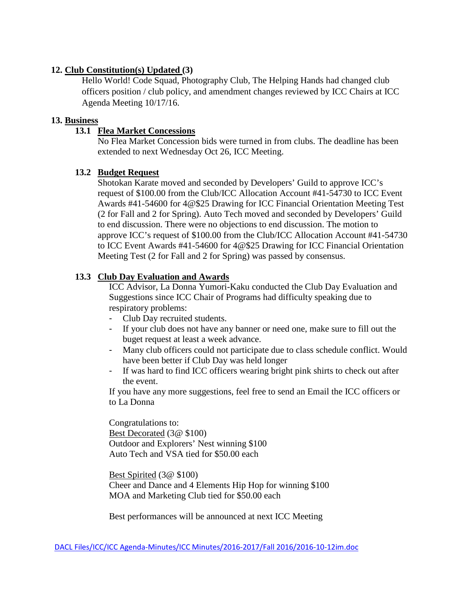## **12. Club Constitution(s) Updated (3)**

Hello World! Code Squad, Photography Club, The Helping Hands had changed club officers position / club policy, and amendment changes reviewed by ICC Chairs at ICC Agenda Meeting 10/17/16.

### **13. Business**

# **13.1 Flea Market Concessions**

No Flea Market Concession bids were turned in from clubs. The deadline has been extended to next Wednesday Oct 26, ICC Meeting.

### **13.2 Budget Request**

Shotokan Karate moved and seconded by Developers' Guild to approve ICC's request of \$100.00 from the Club/ICC Allocation Account #41-54730 to ICC Event Awards #41-54600 for 4@\$25 Drawing for ICC Financial Orientation Meeting Test (2 for Fall and 2 for Spring). Auto Tech moved and seconded by Developers' Guild to end discussion. There were no objections to end discussion. The motion to approve ICC's request of \$100.00 from the Club/ICC Allocation Account #41-54730 to ICC Event Awards #41-54600 for 4@\$25 Drawing for ICC Financial Orientation Meeting Test (2 for Fall and 2 for Spring) was passed by consensus.

# **13.3 Club Day Evaluation and Awards**

ICC Advisor, La Donna Yumori-Kaku conducted the Club Day Evaluation and Suggestions since ICC Chair of Programs had difficulty speaking due to respiratory problems:

- Club Day recruited students.
- If your club does not have any banner or need one, make sure to fill out the buget request at least a week advance.
- Many club officers could not participate due to class schedule conflict. Would have been better if Club Day was held longer
- If was hard to find ICC officers wearing bright pink shirts to check out after the event.

If you have any more suggestions, feel free to send an Email the ICC officers or to La Donna

Congratulations to: Best Decorated (3@ \$100) Outdoor and Explorers' Nest winning \$100 Auto Tech and VSA tied for \$50.00 each

Best Spirited (3@ \$100) Cheer and Dance and 4 Elements Hip Hop for winning \$100 MOA and Marketing Club tied for \$50.00 each

Best performances will be announced at next ICC Meeting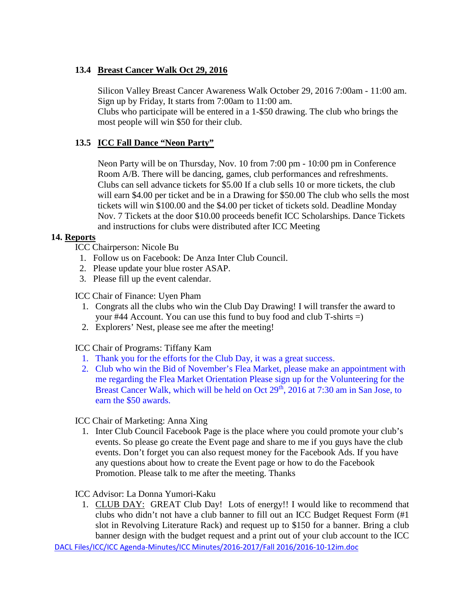# **13.4 Breast Cancer Walk Oct 29, 2016**

Silicon Valley Breast Cancer Awareness Walk October 29, 2016 7:00am - 11:00 am. Sign up by Friday, It starts from 7:00am to 11:00 am.

Clubs who participate will be entered in a 1-\$50 drawing. The club who brings the most people will win \$50 for their club.

## **13.5 ICC Fall Dance "Neon Party"**

Neon Party will be on Thursday, Nov. 10 from 7:00 pm - 10:00 pm in Conference Room A/B. There will be dancing, games, club performances and refreshments. Clubs can sell advance tickets for \$5.00 If a club sells 10 or more tickets, the club will earn \$4.00 per ticket and be in a Drawing for \$50.00 The club who sells the most tickets will win \$100.00 and the \$4.00 per ticket of tickets sold. Deadline Monday Nov. 7 Tickets at the door \$10.00 proceeds benefit ICC Scholarships. Dance Tickets and instructions for clubs were distributed after ICC Meeting

### **14. Reports**

- ICC Chairperson: Nicole Bu
	- 1. Follow us on Facebook: De Anza Inter Club Council.
	- 2. Please update your blue roster ASAP.
	- 3. Please fill up the event calendar.

ICC Chair of Finance: Uyen Pham

- 1. Congrats all the clubs who win the Club Day Drawing! I will transfer the award to your #44 Account. You can use this fund to buy food and club T-shirts =)
- 2. Explorers' Nest, please see me after the meeting!

ICC Chair of Programs: Tiffany Kam

- 1. Thank you for the efforts for the Club Day, it was a great success.
- 2. Club who win the Bid of November's Flea Market, please make an appointment with me regarding the Flea Market Orientation Please sign up for the Volunteering for the Breast Cancer Walk, which will be held on Oct  $29<sup>th</sup>$ ,  $2016$  at 7:30 am in San Jose, to earn the \$50 awards.

ICC Chair of Marketing: Anna Xing

1. Inter Club Council Facebook Page is the place where you could promote your club's events. So please go create the Event page and share to me if you guys have the club events. Don't forget you can also request money for the Facebook Ads. If you have any questions about how to create the Event page or how to do the Facebook Promotion. Please talk to me after the meeting. Thanks

ICC Advisor: La Donna Yumori-Kaku

1. CLUB DAY: GREAT Club Day! Lots of energy!! I would like to recommend that clubs who didn't not have a club banner to fill out an ICC Budget Request Form (#1 slot in Revolving Literature Rack) and request up to \$150 for a banner. Bring a club banner design with the budget request and a print out of your club account to the ICC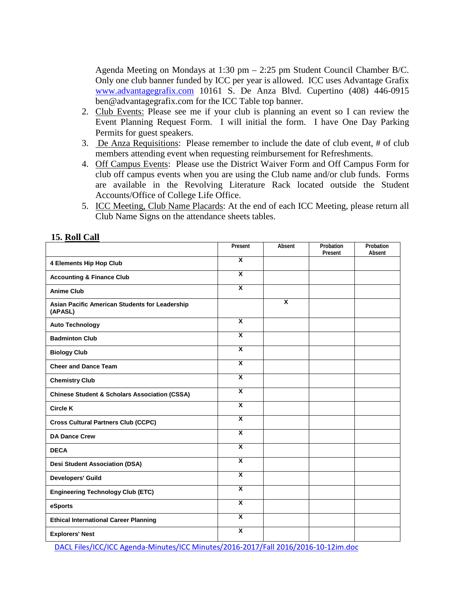Agenda Meeting on Mondays at 1:30 pm – 2:25 pm Student Council Chamber B/C. Only one club banner funded by ICC per year is allowed. ICC uses Advantage Grafix [www.advantagegrafix.com](http://www.advantagegrafix.com/) 10161 S. De Anza Blvd. Cupertino (408) 446-0915 ben@advantagegrafix.com for the ICC Table top banner.

- 2. Club Events: Please see me if your club is planning an event so I can review the Event Planning Request Form. I will initial the form. I have One Day Parking Permits for guest speakers.
- 3. De Anza Requisitions: Please remember to include the date of club event, # of club members attending event when requesting reimbursement for Refreshments.
- 4. Off Campus Events: Please use the District Waiver Form and Off Campus Form for club off campus events when you are using the Club name and/or club funds. Forms are available in the Revolving Literature Rack located outside the Student Accounts/Office of College Life Office.
- 5. ICC Meeting, Club Name Placards: At the end of each ICC Meeting, please return all Club Name Signs on the attendance sheets tables.

|                                                           | Present                 | Absent                  | Probation<br>Present | Probation<br>Absent |
|-----------------------------------------------------------|-------------------------|-------------------------|----------------------|---------------------|
| 4 Elements Hip Hop Club                                   | $\overline{\mathbf{x}}$ |                         |                      |                     |
| <b>Accounting &amp; Finance Club</b>                      | $\overline{\mathbf{x}}$ |                         |                      |                     |
| <b>Anime Club</b>                                         | $\overline{\mathbf{x}}$ |                         |                      |                     |
| Asian Pacific American Students for Leadership<br>(APASL) |                         | $\overline{\mathbf{x}}$ |                      |                     |
| <b>Auto Technology</b>                                    | $\overline{\mathbf{x}}$ |                         |                      |                     |
| <b>Badminton Club</b>                                     | $\overline{\mathsf{x}}$ |                         |                      |                     |
| <b>Biology Club</b>                                       | $\overline{\mathbf{x}}$ |                         |                      |                     |
| <b>Cheer and Dance Team</b>                               | $\overline{\mathbf{x}}$ |                         |                      |                     |
| <b>Chemistry Club</b>                                     | X                       |                         |                      |                     |
| <b>Chinese Student &amp; Scholars Association (CSSA)</b>  | $\overline{\mathbf{x}}$ |                         |                      |                     |
| <b>Circle K</b>                                           | X                       |                         |                      |                     |
| <b>Cross Cultural Partners Club (CCPC)</b>                | $\overline{\mathbf{x}}$ |                         |                      |                     |
| <b>DA Dance Crew</b>                                      | $\overline{\mathbf{x}}$ |                         |                      |                     |
| <b>DECA</b>                                               | $\overline{\mathbf{x}}$ |                         |                      |                     |
| <b>Desi Student Association (DSA)</b>                     | $\overline{\mathbf{x}}$ |                         |                      |                     |
| <b>Developers' Guild</b>                                  | $\overline{\mathbf{x}}$ |                         |                      |                     |
| <b>Engineering Technology Club (ETC)</b>                  | $\overline{\mathbf{x}}$ |                         |                      |                     |
| eSports                                                   | $\overline{\mathbf{x}}$ |                         |                      |                     |
| <b>Ethical International Career Planning</b>              | $\overline{\mathbf{x}}$ |                         |                      |                     |
| <b>Explorers' Nest</b>                                    | $\overline{\mathsf{x}}$ |                         |                      |                     |

#### **15. Roll Call**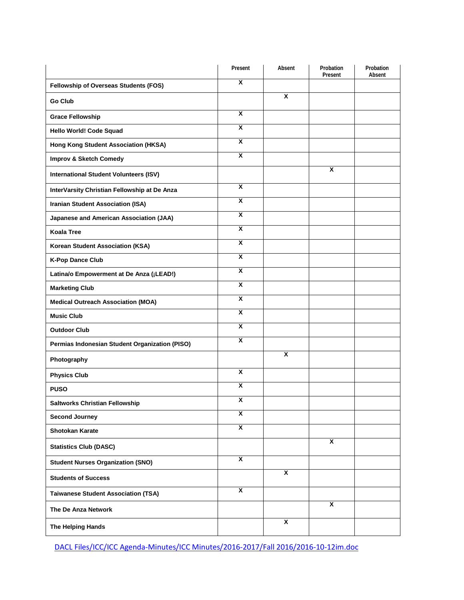|                                                | Present                 | Absent                    | Probation<br>Present    | Probation<br>Absent |
|------------------------------------------------|-------------------------|---------------------------|-------------------------|---------------------|
| Fellowship of Overseas Students (FOS)          | X                       |                           |                         |                     |
| <b>Go Club</b>                                 |                         | $\boldsymbol{\mathsf{x}}$ |                         |                     |
| <b>Grace Fellowship</b>                        | $\overline{\mathbf{x}}$ |                           |                         |                     |
| Hello World! Code Squad                        | $\overline{\mathbf{x}}$ |                           |                         |                     |
| Hong Kong Student Association (HKSA)           | $\overline{\mathbf{x}}$ |                           |                         |                     |
| <b>Improv &amp; Sketch Comedy</b>              | $\overline{\mathbf{x}}$ |                           |                         |                     |
| <b>International Student Volunteers (ISV)</b>  |                         |                           | X                       |                     |
| InterVarsity Christian Fellowship at De Anza   | $\overline{\mathbf{x}}$ |                           |                         |                     |
| <b>Iranian Student Association (ISA)</b>       | $\overline{\mathbf{x}}$ |                           |                         |                     |
| Japanese and American Association (JAA)        | $\overline{\mathbf{x}}$ |                           |                         |                     |
| <b>Koala Tree</b>                              | $\overline{\mathbf{x}}$ |                           |                         |                     |
| Korean Student Association (KSA)               | $\overline{\mathbf{x}}$ |                           |                         |                     |
| <b>K-Pop Dance Club</b>                        | $\overline{\mathbf{x}}$ |                           |                         |                     |
| Latina/o Empowerment at De Anza (¡LEAD!)       | $\overline{\mathbf{x}}$ |                           |                         |                     |
| <b>Marketing Club</b>                          | $\overline{\mathbf{x}}$ |                           |                         |                     |
| <b>Medical Outreach Association (MOA)</b>      | $\overline{\mathbf{x}}$ |                           |                         |                     |
| <b>Music Club</b>                              | $\overline{\mathbf{x}}$ |                           |                         |                     |
| <b>Outdoor Club</b>                            | $\overline{\mathbf{x}}$ |                           |                         |                     |
| Permias Indonesian Student Organization (PISO) | $\overline{\mathbf{x}}$ |                           |                         |                     |
| Photography                                    |                         | $\overline{\mathbf{x}}$   |                         |                     |
| <b>Physics Club</b>                            | $\overline{\mathbf{x}}$ |                           |                         |                     |
| <b>PUSO</b>                                    | $\overline{\mathbf{x}}$ |                           |                         |                     |
| Saltworks Christian Fellowship                 | X                       |                           |                         |                     |
| <b>Second Journey</b>                          | $\overline{\mathbf{x}}$ |                           |                         |                     |
| Shotokan Karate                                | $\overline{\mathbf{x}}$ |                           |                         |                     |
| <b>Statistics Club (DASC)</b>                  |                         |                           | $\overline{\mathbf{x}}$ |                     |
| <b>Student Nurses Organization (SNO)</b>       | $\overline{\mathbf{x}}$ |                           |                         |                     |
| <b>Students of Success</b>                     |                         | $\overline{\mathbf{x}}$   |                         |                     |
| <b>Taiwanese Student Association (TSA)</b>     | $\overline{\mathbf{x}}$ |                           |                         |                     |
| The De Anza Network                            |                         |                           | $\overline{\mathbf{x}}$ |                     |
| The Helping Hands                              |                         | X                         |                         |                     |